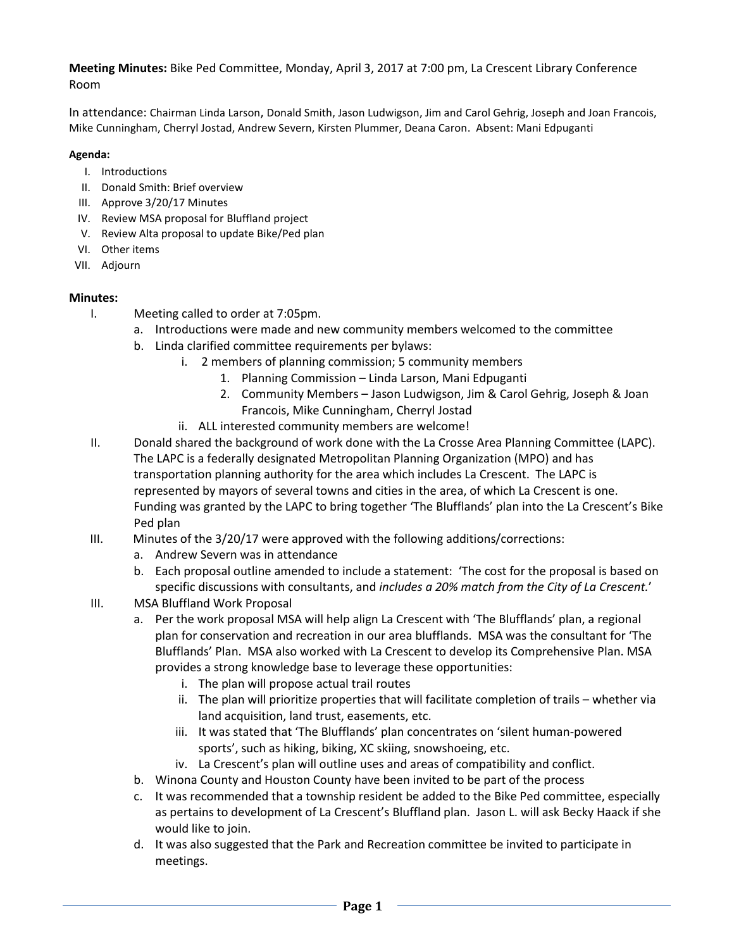## **Meeting Minutes:** Bike Ped Committee, Monday, April 3, 2017 at 7:00 pm, La Crescent Library Conference Room

In attendance: Chairman Linda Larson, Donald Smith, Jason Ludwigson, Jim and Carol Gehrig, Joseph and Joan Francois, Mike Cunningham, Cherryl Jostad, Andrew Severn, Kirsten Plummer, Deana Caron. Absent: Mani Edpuganti

## **Agenda:**

- I. Introductions
- II. Donald Smith: Brief overview
- III. Approve 3/20/17 Minutes
- IV. Review MSA proposal for Bluffland project
- V. Review Alta proposal to update Bike/Ped plan
- VI. Other items
- VII. Adjourn

## **Minutes:**

- I. Meeting called to order at 7:05pm.
	- a. Introductions were made and new community members welcomed to the committee
	- b. Linda clarified committee requirements per bylaws:
		- i. 2 members of planning commission; 5 community members
			- 1. Planning Commission Linda Larson, Mani Edpuganti
				- 2. Community Members Jason Ludwigson, Jim & Carol Gehrig, Joseph & Joan Francois, Mike Cunningham, Cherryl Jostad
		- ii. ALL interested community members are welcome!
- II. Donald shared the background of work done with the La Crosse Area Planning Committee (LAPC). The LAPC is a federally designated Metropolitan Planning Organization (MPO) and has transportation planning authority for the area which includes La Crescent. The LAPC is represented by mayors of several towns and cities in the area, of which La Crescent is one. Funding was granted by the LAPC to bring together 'The Blufflands' plan into the La Crescent's Bike Ped plan
- III. Minutes of the 3/20/17 were approved with the following additions/corrections:
	- a. Andrew Severn was in attendance
	- b. Each proposal outline amended to include a statement: 'The cost for the proposal is based on specific discussions with consultants, and *includes a 20% match from the City of La Crescent.*'
- III. MSA Bluffland Work Proposal
	- a. Per the work proposal MSA will help align La Crescent with 'The Blufflands' plan, a regional plan for conservation and recreation in our area blufflands. MSA was the consultant for 'The Blufflands' Plan. MSA also worked with La Crescent to develop its Comprehensive Plan. MSA provides a strong knowledge base to leverage these opportunities:
		- i. The plan will propose actual trail routes
		- ii. The plan will prioritize properties that will facilitate completion of trails whether via land acquisition, land trust, easements, etc.
		- iii. It was stated that 'The Blufflands' plan concentrates on 'silent human-powered sports', such as hiking, biking, XC skiing, snowshoeing, etc.
		- iv. La Crescent's plan will outline uses and areas of compatibility and conflict.
	- b. Winona County and Houston County have been invited to be part of the process
	- c. It was recommended that a township resident be added to the Bike Ped committee, especially as pertains to development of La Crescent's Bluffland plan. Jason L. will ask Becky Haack if she would like to join.
	- d. It was also suggested that the Park and Recreation committee be invited to participate in meetings.